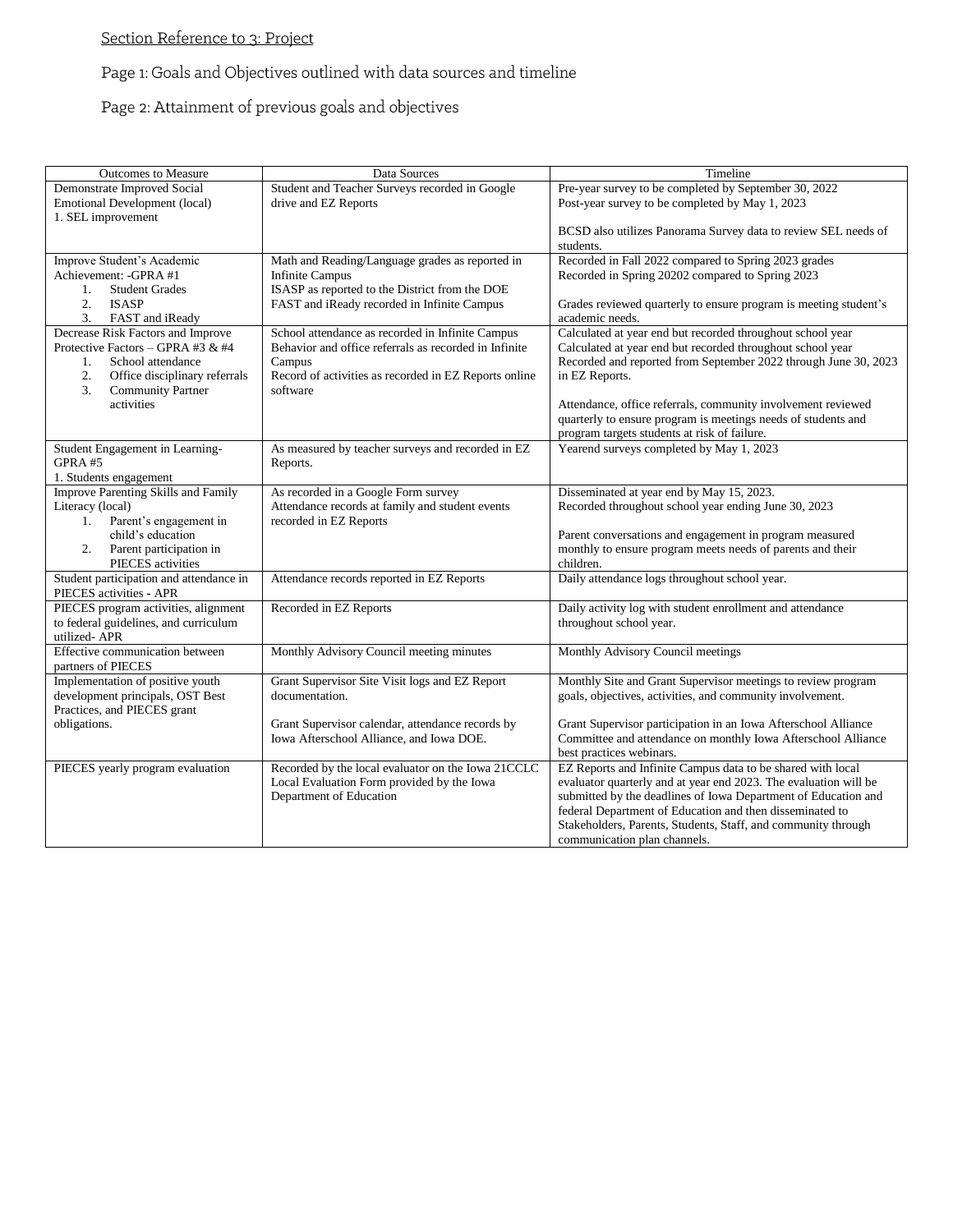## Section Reference to 3: Project

## Page 1: Goals and Objectives outlined with data sources and timeline

Page 2: Attainment of previous goals and objectives

| <b>Outcomes to Measure</b>                                    | Data Sources                                                                                     | Timeline                                                                                                                        |
|---------------------------------------------------------------|--------------------------------------------------------------------------------------------------|---------------------------------------------------------------------------------------------------------------------------------|
| Demonstrate Improved Social                                   | Student and Teacher Surveys recorded in Google                                                   | Pre-year survey to be completed by September 30, 2022                                                                           |
| <b>Emotional Development (local)</b>                          | drive and EZ Reports                                                                             | Post-year survey to be completed by May 1, 2023                                                                                 |
| 1. SEL improvement                                            |                                                                                                  | BCSD also utilizes Panorama Survey data to review SEL needs of<br>students.                                                     |
| Improve Student's Academic                                    | Math and Reading/Language grades as reported in                                                  | Recorded in Fall 2022 compared to Spring 2023 grades                                                                            |
| Achievement: -GPRA #1                                         | <b>Infinite Campus</b>                                                                           | Recorded in Spring 20202 compared to Spring 2023                                                                                |
| <b>Student Grades</b><br>1.                                   | ISASP as reported to the District from the DOE                                                   |                                                                                                                                 |
| 2.<br><b>ISASP</b><br>3.                                      | FAST and iReady recorded in Infinite Campus                                                      | Grades reviewed quarterly to ensure program is meeting student's<br>academic needs.                                             |
| FAST and iReady<br>Decrease Risk Factors and Improve          | School attendance as recorded in Infinite Campus                                                 | Calculated at year end but recorded throughout school year                                                                      |
| Protective Factors - GPRA #3 & #4                             | Behavior and office referrals as recorded in Infinite                                            | Calculated at year end but recorded throughout school year                                                                      |
| School attendance<br>$1_{-}$                                  | Campus                                                                                           | Recorded and reported from September 2022 through June 30, 2023                                                                 |
| 2.<br>Office disciplinary referrals                           | Record of activities as recorded in EZ Reports online                                            | in EZ Reports.                                                                                                                  |
| 3.<br><b>Community Partner</b>                                | software                                                                                         |                                                                                                                                 |
| activities                                                    |                                                                                                  | Attendance, office referrals, community involvement reviewed                                                                    |
|                                                               |                                                                                                  | quarterly to ensure program is meetings needs of students and                                                                   |
|                                                               |                                                                                                  | program targets students at risk of failure.                                                                                    |
| Student Engagement in Learning-                               | As measured by teacher surveys and recorded in EZ                                                | Yearend surveys completed by May 1, 2023                                                                                        |
| GPRA #5                                                       | Reports.                                                                                         |                                                                                                                                 |
| 1. Students engagement<br>Improve Parenting Skills and Family |                                                                                                  |                                                                                                                                 |
| Literacy (local)                                              | As recorded in a Google Form survey<br>Attendance records at family and student events           | Disseminated at year end by May 15, 2023.<br>Recorded throughout school year ending June 30, 2023                               |
| Parent's engagement in<br>1.                                  | recorded in EZ Reports                                                                           |                                                                                                                                 |
| child's education                                             |                                                                                                  | Parent conversations and engagement in program measured                                                                         |
| Parent participation in<br>2.                                 |                                                                                                  | monthly to ensure program meets needs of parents and their                                                                      |
| PIECES activities                                             |                                                                                                  | children.                                                                                                                       |
| Student participation and attendance in                       | Attendance records reported in EZ Reports                                                        | Daily attendance logs throughout school year.                                                                                   |
| PIECES activities - APR                                       |                                                                                                  |                                                                                                                                 |
| PIECES program activities, alignment                          | Recorded in EZ Reports                                                                           | Daily activity log with student enrollment and attendance                                                                       |
| to federal guidelines, and curriculum<br>utilized-APR         |                                                                                                  | throughout school year.                                                                                                         |
| Effective communication between                               | Monthly Advisory Council meeting minutes                                                         | Monthly Advisory Council meetings                                                                                               |
| partners of PIECES                                            |                                                                                                  |                                                                                                                                 |
| Implementation of positive youth                              | Grant Supervisor Site Visit logs and EZ Report                                                   | Monthly Site and Grant Supervisor meetings to review program                                                                    |
| development principals, OST Best                              | documentation.                                                                                   | goals, objectives, activities, and community involvement.                                                                       |
| Practices, and PIECES grant                                   |                                                                                                  |                                                                                                                                 |
| obligations.                                                  | Grant Supervisor calendar, attendance records by                                                 | Grant Supervisor participation in an Iowa Afterschool Alliance                                                                  |
|                                                               | Iowa Afterschool Alliance, and Iowa DOE.                                                         | Committee and attendance on monthly Iowa Afterschool Alliance                                                                   |
|                                                               |                                                                                                  | best practices webinars.                                                                                                        |
| PIECES yearly program evaluation                              | Recorded by the local evaluator on the Iowa 21CCLC<br>Local Evaluation Form provided by the Iowa | EZ Reports and Infinite Campus data to be shared with local<br>evaluator quarterly and at year end 2023. The evaluation will be |
|                                                               | Department of Education                                                                          | submitted by the deadlines of Iowa Department of Education and                                                                  |
|                                                               |                                                                                                  | federal Department of Education and then disseminated to                                                                        |
|                                                               |                                                                                                  | Stakeholders, Parents, Students, Staff, and community through                                                                   |
|                                                               |                                                                                                  | communication plan channels.                                                                                                    |